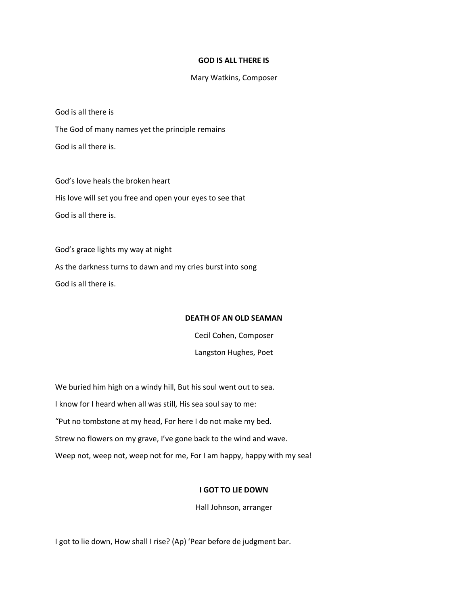### **GOD IS ALL THERE IS**

### Mary Watkins, Composer

God is all there is

The God of many names yet the principle remains God is all there is.

God's love heals the broken heart His love will set you free and open your eyes to see that God is all there is.

God's grace lights my way at night As the darkness turns to dawn and my cries burst into song God is all there is.

## **DEATH OF AN OLD SEAMAN**

Cecil Cohen, Composer Langston Hughes, Poet

We buried him high on a windy hill, But his soul went out to sea. I know for I heard when all was still, His sea soul say to me: "Put no tombstone at my head, For here I do not make my bed. Strew no flowers on my grave, I've gone back to the wind and wave. Weep not, weep not, weep not for me, For I am happy, happy with my sea!

## **I GOT TO LIE DOWN**

Hall Johnson, arranger

I got to lie down, How shall I rise? (Ap) 'Pear before de judgment bar.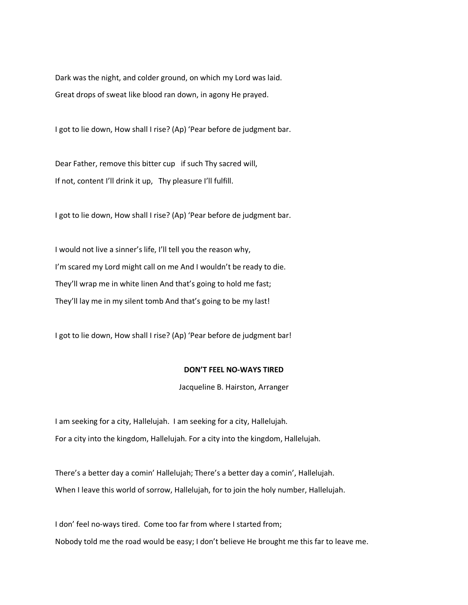Dark was the night, and colder ground, on which my Lord was laid. Great drops of sweat like blood ran down, in agony He prayed.

I got to lie down, How shall I rise? (Ap) 'Pear before de judgment bar.

Dear Father, remove this bitter cup if such Thy sacred will, If not, content I'll drink it up, Thy pleasure I'll fulfill.

I got to lie down, How shall I rise? (Ap) 'Pear before de judgment bar.

I would not live a sinner's life, I'll tell you the reason why, I'm scared my Lord might call on me And I wouldn't be ready to die. They'll wrap me in white linen And that's going to hold me fast; They'll lay me in my silent tomb And that's going to be my last!

I got to lie down, How shall I rise? (Ap) 'Pear before de judgment bar!

## **DON'T FEEL NO-WAYS TIRED**

Jacqueline B. Hairston, Arranger

I am seeking for a city, Hallelujah. I am seeking for a city, Hallelujah. For a city into the kingdom, Hallelujah. For a city into the kingdom, Hallelujah.

There's a better day a comin' Hallelujah; There's a better day a comin', Hallelujah. When I leave this world of sorrow, Hallelujah, for to join the holy number, Hallelujah.

I don' feel no-ways tired. Come too far from where I started from; Nobody told me the road would be easy; I don't believe He brought me this far to leave me.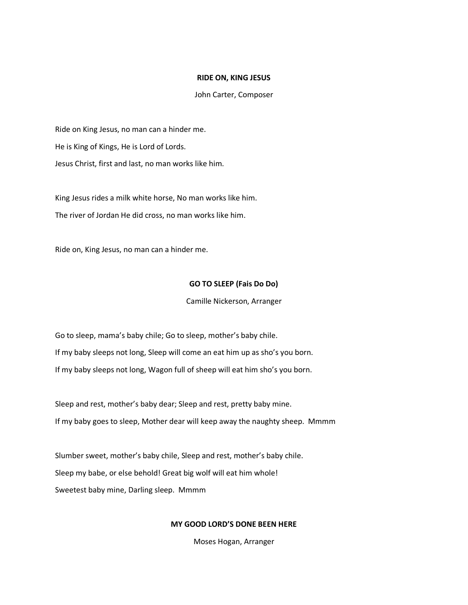### **RIDE ON, KING JESUS**

### John Carter, Composer

Ride on King Jesus, no man can a hinder me. He is King of Kings, He is Lord of Lords. Jesus Christ, first and last, no man works like him.

King Jesus rides a milk white horse, No man works like him. The river of Jordan He did cross, no man works like him.

Ride on, King Jesus, no man can a hinder me.

## **GO TO SLEEP (Fais Do Do)**

Camille Nickerson, Arranger

Go to sleep, mama's baby chile; Go to sleep, mother's baby chile. If my baby sleeps not long, Sleep will come an eat him up as sho's you born. If my baby sleeps not long, Wagon full of sheep will eat him sho's you born.

Sleep and rest, mother's baby dear; Sleep and rest, pretty baby mine. If my baby goes to sleep, Mother dear will keep away the naughty sheep. Mmmm

Slumber sweet, mother's baby chile, Sleep and rest, mother's baby chile. Sleep my babe, or else behold! Great big wolf will eat him whole! Sweetest baby mine, Darling sleep. Mmmm

#### **MY GOOD LORD'S DONE BEEN HERE**

Moses Hogan, Arranger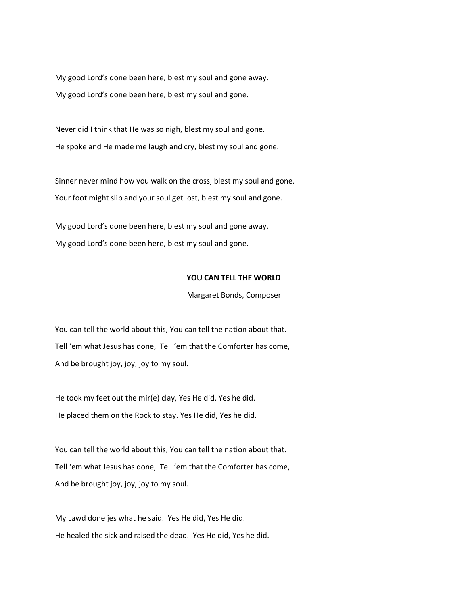My good Lord's done been here, blest my soul and gone away. My good Lord's done been here, blest my soul and gone.

Never did I think that He was so nigh, blest my soul and gone. He spoke and He made me laugh and cry, blest my soul and gone.

Sinner never mind how you walk on the cross, blest my soul and gone. Your foot might slip and your soul get lost, blest my soul and gone.

My good Lord's done been here, blest my soul and gone away. My good Lord's done been here, blest my soul and gone.

## **YOU CAN TELL THE WORLD**

## Margaret Bonds, Composer

You can tell the world about this, You can tell the nation about that. Tell 'em what Jesus has done, Tell 'em that the Comforter has come, And be brought joy, joy, joy to my soul.

He took my feet out the mir(e) clay, Yes He did, Yes he did. He placed them on the Rock to stay. Yes He did, Yes he did.

You can tell the world about this, You can tell the nation about that. Tell 'em what Jesus has done, Tell 'em that the Comforter has come, And be brought joy, joy, joy to my soul.

My Lawd done jes what he said. Yes He did, Yes He did. He healed the sick and raised the dead. Yes He did, Yes he did.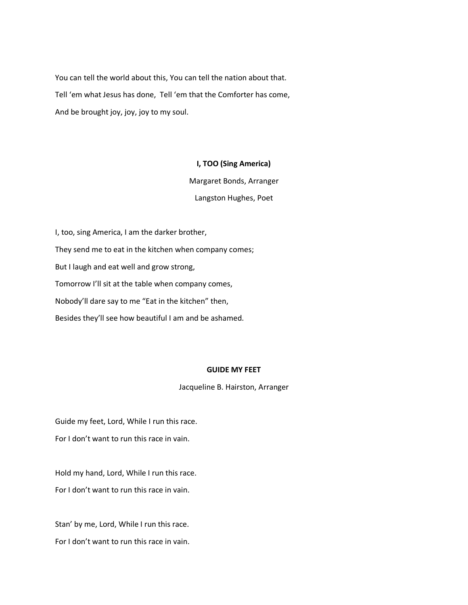You can tell the world about this, You can tell the nation about that. Tell 'em what Jesus has done, Tell 'em that the Comforter has come, And be brought joy, joy, joy to my soul.

## **I, TOO (Sing America)**

Margaret Bonds, Arranger

Langston Hughes, Poet

I, too, sing America, I am the darker brother, They send me to eat in the kitchen when company comes; But I laugh and eat well and grow strong, Tomorrow I'll sit at the table when company comes, Nobody'll dare say to me "Eat in the kitchen" then, Besides they'll see how beautiful I am and be ashamed.

## **GUIDE MY FEET**

Jacqueline B. Hairston, Arranger

Guide my feet, Lord, While I run this race.

For I don't want to run this race in vain.

Hold my hand, Lord, While I run this race. For I don't want to run this race in vain.

Stan' by me, Lord, While I run this race. For I don't want to run this race in vain.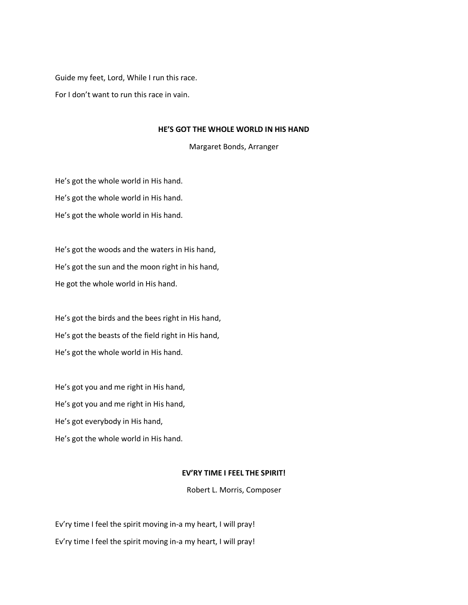Guide my feet, Lord, While I run this race.

For I don't want to run this race in vain.

## **HE'S GOT THE WHOLE WORLD IN HIS HAND**

Margaret Bonds, Arranger

He's got the whole world in His hand. He's got the whole world in His hand. He's got the whole world in His hand.

He's got the woods and the waters in His hand, He's got the sun and the moon right in his hand, He got the whole world in His hand.

He's got the birds and the bees right in His hand, He's got the beasts of the field right in His hand, He's got the whole world in His hand.

He's got you and me right in His hand, He's got you and me right in His hand, He's got everybody in His hand, He's got the whole world in His hand.

# **EV'RY TIME I FEEL THE SPIRIT!**

Robert L. Morris, Composer

Ev'ry time I feel the spirit moving in-a my heart, I will pray! Ev'ry time I feel the spirit moving in-a my heart, I will pray!